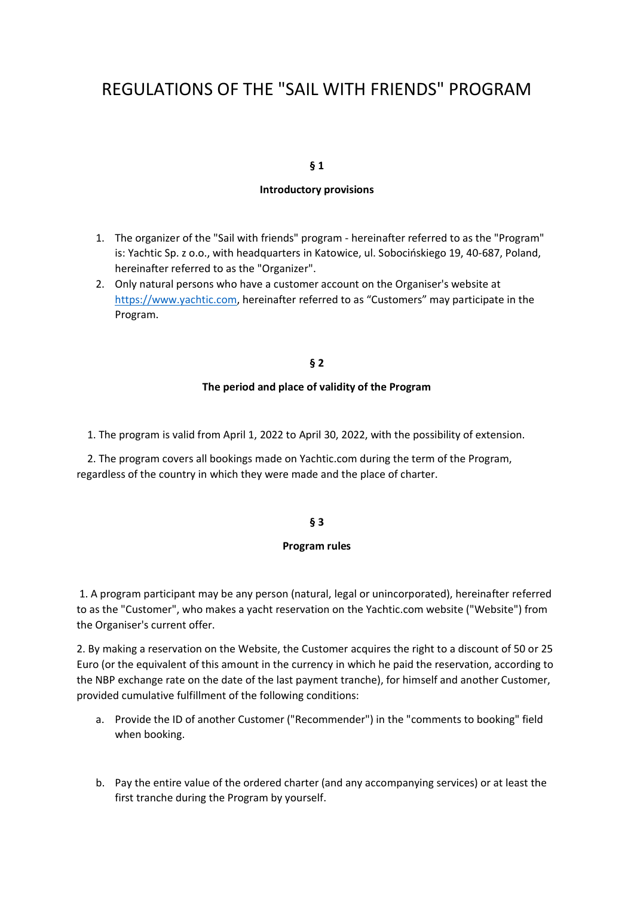# REGULATIONS OF THE "SAIL WITH FRIENDS" PROGRAM

## **§ 1**

### **Introductory provisions**

- 1. The organizer of the "Sail with friends" program hereinafter referred to as the "Program" is: Yachtic Sp. z o.o., with headquarters in Katowice, ul. Sobocińskiego 19, 40-687, Poland, hereinafter referred to as the "Organizer".
- 2. Only natural persons who have a customer account on the Organiser's website at [https://www.yachtic.com,](https://www.yachtic.com/) hereinafter referred to as "Customers" may participate in the Program.

## **§ 2**

#### **The period and place of validity of the Program**

1. The program is valid from April 1, 2022 to April 30, 2022, with the possibility of extension.

 2. The program covers all bookings made on Yachtic.com during the term of the Program, regardless of the country in which they were made and the place of charter.

## **§ 3**

#### **Program rules**

1. A program participant may be any person (natural, legal or unincorporated), hereinafter referred to as the "Customer", who makes a yacht reservation on the Yachtic.com website ("Website") from the Organiser's current offer.

2. By making a reservation on the Website, the Customer acquires the right to a discount of 50 or 25 Euro (or the equivalent of this amount in the currency in which he paid the reservation, according to the NBP exchange rate on the date of the last payment tranche), for himself and another Customer, provided cumulative fulfillment of the following conditions:

- a. Provide the ID of another Customer ("Recommender") in the "comments to booking" field when booking.
- b. Pay the entire value of the ordered charter (and any accompanying services) or at least the first tranche during the Program by yourself.